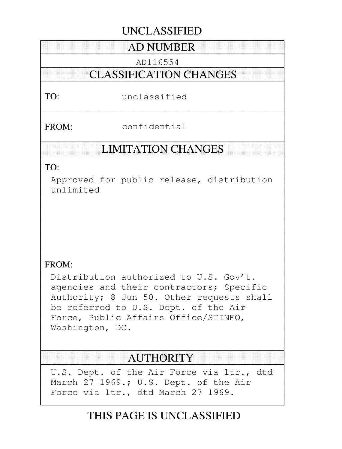# **UNCLASSIFIED**

# **AD NUMBER**

ADI 16554

# **CLASSIFICATION CHANGES**

TO: unclassified

FROM: confidential

# **LIMITATION CHANGES**

TO:

Approved for public release, distribution unlimited

# FROM:

Distribution authorized to U.S. Gov't. agencies and their contractors; Specific Authority; 8 Jun 50. Other requests shall be referred to U.S. Dept. of the Air Force, Public Affairs Office/STINFO, Washington, DC.

# **AUTHORITY**

U.S. Dept. of the Air Force via ltr., dtd March 27 1969.; U.S. Dept. of the Air Force via ltr., dtd March 27 1969.

# **THIS PAGE IS UNCLASSIFIED**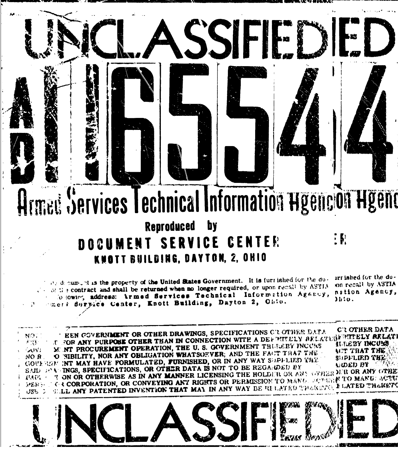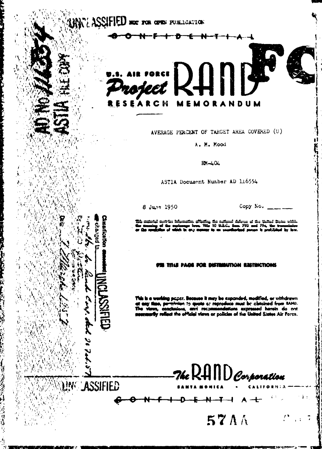UNITE ASSIFIED NOT TON OFFICE PUBLICATION



AVERAGE PERCENT OF TARGET AREA COVERED (U)

A. M. Mood

 $RM - 404$ 

ASTIA Document Number AD 116554

8 June 1950

Cinantication

politura,

**INGLASSIFIED** 

Copy No.  $\_\_\_\_\_\_\_\_\_\_\_\$ 

بطبها جبلا ہے **FULL**  $\overline{m}$ 

#### TITLE PAGE FOR DISTRIBUTION RESTRICTIONS

e it mey be expanded, modified, or withdrawn uner. **Bacı** is at reproduce must be clatained from RAND.  $12<sub>0</sub>$ Kons expressed herein do not the official views or policies of the United States Air Force.

-7hc RAND Corpora*tion* 

57AA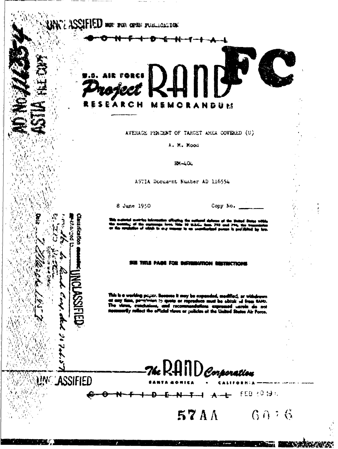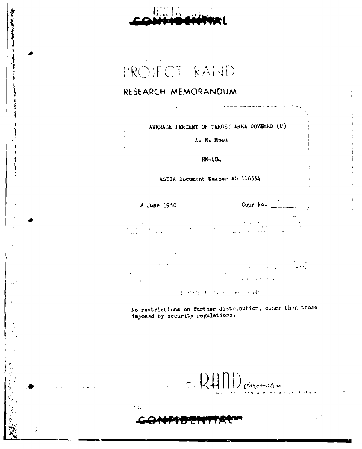جانب سياسي

 $\frac{1}{2} \sum_{i=1}^{n} \frac{1}{2} \sum_{j=1}^{n} \frac{1}{2} \sum_{j=1}^{n} \frac{1}{2} \sum_{j=1}^{n} \frac{1}{2} \sum_{j=1}^{n} \frac{1}{2} \sum_{j=1}^{n} \frac{1}{2} \sum_{j=1}^{n} \frac{1}{2} \sum_{j=1}^{n} \frac{1}{2} \sum_{j=1}^{n} \frac{1}{2} \sum_{j=1}^{n} \frac{1}{2} \sum_{j=1}^{n} \frac{1}{2} \sum_{j=1}^{n} \frac{1}{2} \sum_{j=1}^{n$ 

 $\bar{t}$ 

 $\mathbf{A}^{\mathcal{A}}$ 

PROJECT RAND

### RESEARCH MEMORANDUM

AVERAGE PERCENT OF TARGET AREA COVERED (U)

A. M. Moor

 $RM - 404$ 

ASTIA Document Nuaber AD 116554

Copy No. 8 June 1950  $\begin{split} \mathcal{L}_{\mathcal{A}}(\mathcal{A})&=\mathcal{L}_{\mathcal{A}}(\mathcal{A})\mathcal{A}(\mathcal{A})\mathcal{A}(\mathcal{A})\mathcal{A}(\mathcal{A})\mathcal{A}(\mathcal{A})\mathcal{A}(\mathcal{A})\mathcal{A}(\mathcal{A})\mathcal{A}(\mathcal{A})\mathcal{A}(\mathcal{A})\mathcal{A}(\mathcal{A})\mathcal{A}(\mathcal{A})\mathcal{A}(\mathcal{A})\mathcal{A}(\mathcal{A})\mathcal{A}(\mathcal{A})\mathcal{A}(\mathcal{A})\mathcal{A}(\mathcal{$ 

 $\mathcal{L} \rightarrow \mathcal{L}$  $\sim 3.5$ 

**CENTRY TESTS PESSAGE INS.** 

No restrictions on further distribution, other than those imposed by security regulations.

LAND Corporation

 $\frac{1}{2}$  .

 $\lambda$  . In (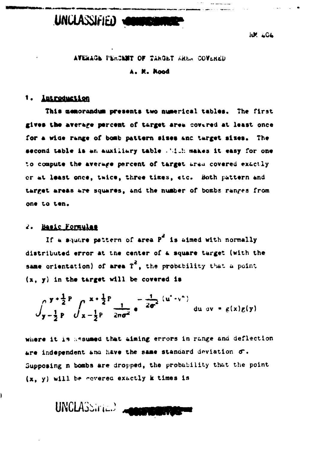

**IUM 404** 

#### AVERAGE PERCENT OF TARGET AREA COVERED

#### A. M. Mood

### 1. <u>Introduction</u>

This memorandum presents two numerical tables. The first gives the average percent of target area covered at least once for a wide range of bomb pattern sizes and target sizes. The second table is an auxiliary table . "It" makes it easy for one to compute the average percent of target area covered exactly or at least once, twice, three times, etc. Both pattern and target areas are squares, and the number of bombs ranges from one to ten.

#### 2. Basic Formulas

Ì

If a square pattern of area  $P^2$  is aimed with normally distributed error at the center of a square target (with the same orientation) of area  $T^2$ , the probability that a point  $(x, y)$  in the target will be covered is

$$
\int_{y-\frac{1}{2}}^{y+\frac{1}{2}P} \int_{x-\frac{1}{2}P}^{x+\frac{1}{2}P} \frac{1}{2\pi\sigma^2} e^{-\frac{1}{2\sigma^2}(u^2+v^2)} du dv = g(x)g(y)
$$

where it is assumed that aiming errors in range and deflection are independent and have the same standard deviation o. Supposing n bombs are dropped, the probability that the point (x, y) will be covered exactly k times is

UNCLASSING.) MORE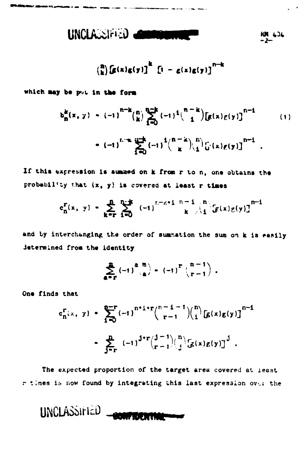$$
UNCLA \cup \{f(i)\}\quad \text{and} \quad \text{for all } i \geq 1
$$

 $\binom{n}{k} \left[ g(x)g(y) \right]^k$   $\left[ 1 - g(x)g(y) \right]^{n-k}$ 

which may be put in the form

$$
b_{n}^{k}(x, y) = (-1)^{n-k} {n \choose k} \sum_{i=0}^{n-k} (-1)^{i} {n-k \choose i} [g(x)g(y)]^{n-i}
$$
  
 
$$
= (-1)^{k-k} \sum_{i=0}^{n-k} (-1)^{i} {n-k \choose k} {n \choose i} [f(x)g(y)]^{n-i}
$$
 (1)

If this expression is summed on k from r to n, one obtains the probability that  $(x, y)$  is covered at least r times

$$
c_n^{\Gamma}(x, y) = \sum_{k=r}^{n} \sum_{i=0}^{n-k} (-1)^{r-r+i} \sum_{k=0}^{n-1} {n \choose k} [g(x)g(y)]^{n-i}
$$

and by interchanging the order of summation the sum on k is easily determined from the identity

$$
\sum_{a=r}^{n} (-1)^{a} \binom{n}{a} = (-1)^{n} \binom{n-1}{r-1}.
$$

One finds that

$$
c_{n}^{r}(x, y) = \sum_{i=0}^{n-r} (-1)^{n+i+r} {n-i-1 \choose r-1} {n \choose i} [g(x)g(y)]^{n-i}
$$

$$
= \sum_{j=r}^{n} (-1)^{j+r} {j-1 \choose r-1} {n \choose j} [g(x)g(y)]^{j}.
$$

The expected proportion of the target area covered at least r times is now found by integrating this last expression over the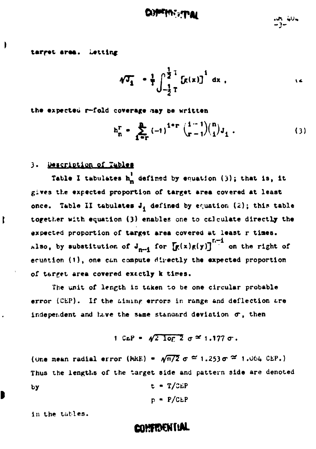tarret area. Letting

$$
\sqrt[4]{4} \cdot \frac{1}{4} \int_{-\frac{1}{2}T}^{\frac{1}{2}T} [f(x)]^{1} dx ,
$$

the expected  $r$ -fold coverage may be written

$$
h_{n}^{r} = \sum_{i=r}^{n} (-1)^{i+r} {i-1 \choose r-1} {n \choose i} J_{i}.
$$
 (3)

### **3.** j&Cri&Dtion of **TAiblee**

ľ

D

Table I tabulates  $h_n^{\dagger}$  defined by equation (3); that is, it gives the expected proportion of target area covered at least once. Table II tabulates  $J_i$  defined by equation (2); this table together with equation (3) enables one to calculate directly the expected proportion of target area covered at least r times. hlso, by substitution of  $J_{n-1}$  for  $\left[\mathbf{g}(\mathbf{x})\mathbf{g}(\mathbf{y})\right]^{n-1}$  on the right of ecuation (1), one can compute directly the expected proportion of t6reet area covered extctly k *times.*

The unit of length is taken to be one circular probable error (CEP). If the aiming errors in range and deflection are independent and have the same standard deviation  $\sigma$ , then

1 CEP = 
$$
\sqrt{2 \log 2} \sigma \approx 1.177 \sigma
$$
.

(One mean radial error (MRE) =  $\sqrt{\pi/2}$   $\sigma \approx 1.253 \sigma \approx 1.064$  CEP.) Thus the lengths of the target side and pattern side are denoted by t **-** T/ZEP

$$
p = P/CEP
$$

in the tables.

# **CONFIDENTIAL**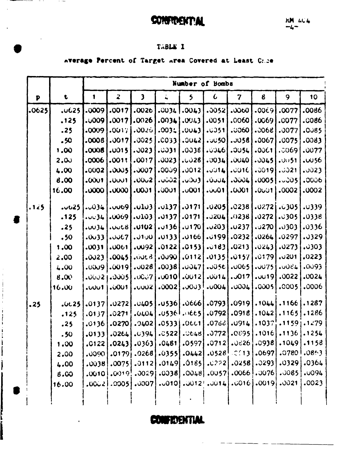**CONFIDENTIAL** 

### TABLE I

----

# Average Percent of Target Area Covered at Least Crice

|              |                    |       | Number of Bombs      |                    |               |              |                                                                 |                |               |                                                                                                                                                                                                                                |                 |
|--------------|--------------------|-------|----------------------|--------------------|---------------|--------------|-----------------------------------------------------------------|----------------|---------------|--------------------------------------------------------------------------------------------------------------------------------------------------------------------------------------------------------------------------------|-----------------|
| $\mathbf{p}$ | $\pmb{\mathsf{t}}$ | 1     | $\boldsymbol{z}$     | $\mathbf{3}$       | ÷,            | 5            | $\epsilon$                                                      | $7\phantom{.}$ | 6             | 9                                                                                                                                                                                                                              | 10              |
| .0625        | <b>.u625</b>       | .0009 | .0017                | .0026              | .0034         | .0043        | .0052                                                           | 0000           | .0069         | .0077                                                                                                                                                                                                                          | .0086           |
|              | .125               | .0009 | .0017                | .0026              | .0034         | .0043        | .0051                                                           | .0060          | .0069         | .0077                                                                                                                                                                                                                          | .0086           |
|              | .25                | .0009 | .0017                | .0026              | .003:         | .0043        | .0351                                                           | .0060          | .0068         | .0077                                                                                                                                                                                                                          | .0085           |
|              | .50                | .0008 | .0017                | .0025              | .0033         | .0042        | .0050                                                           | .JU58          | .0067         | .0075                                                                                                                                                                                                                          | .0083           |
|              | 1.00               | .0008 | .0015                | .0023              | .0031         | .0036        | 3400.                                                           | .0054          | .0061         | .0069                                                                                                                                                                                                                          | .0077           |
|              | 2.00               | .0006 | .0011                | .0017              | .0023         | .0028        | .0034                                                           | .0040          | .0045         | .0051                                                                                                                                                                                                                          | .0056           |
|              | 4.00               | .0002 | .0005                | .0007              | .0009         | .0012        | 10014                                                           | .0016          | .0019         | .0021                                                                                                                                                                                                                          | .0023           |
|              | 8.00               | .0001 | 001                  | .0002              | <b>.</b> UÜÜ2 | 3∪0ن.        | 10004                                                           | .0004          | .0005         | .0005                                                                                                                                                                                                                          | .0006           |
|              | 16.00              | .0000 | .0000                | .0001              | .0001         | .0001        | .001                                                            | .0001          | $.0 \cup 1$   | .0002                                                                                                                                                                                                                          | .0002           |
| .125         | .vu25              | .034  | .0009                | .0103              | .0137         | .0171        | .02051                                                          | .0238          | $.0272$ $[$   | .0305                                                                                                                                                                                                                          | .0339           |
|              | .125               | 10034 | .0069                | .0103              | .0137         | .0171        | .0204                                                           | .0238          | .0272         | .0305                                                                                                                                                                                                                          | .0338           |
|              | .25                | .0034 | .0068                | <b>.0102</b>       | .0136         | .0170        | .0203                                                           | .0237          | .0270         | .0303                                                                                                                                                                                                                          | .0336           |
|              | .50                | .0033 | .0067                | .0100              | .0133         | .0166        | 199ة،                                                           | .0232          | .0264         | .0297                                                                                                                                                                                                                          | .0329           |
|              | 1,00               | .0031 | .0061                | .0092              | .0122         | .0153        | . . 183                                                         | .0213          | .0243         | .0273                                                                                                                                                                                                                          | .0303           |
|              | 2.00               | .0023 | .0045                | JUNE B             | 0000.         | ,0112        | .0135                                                           | .0157          | .0179         | .0201                                                                                                                                                                                                                          | .0223           |
|              | 4.00               | .0009 | .0019                | .0028              | .0038         | .0047        | .0056                                                           | .0065          | .0075         | 1500.                                                                                                                                                                                                                          | .0093           |
|              | 8.00               | .0002 | .0005                | .0007              | .0010         | .0012        | .0014                                                           | .017           | .uu19]        | .0022                                                                                                                                                                                                                          | .0024           |
|              | 16.00              | .UUU1 | .0001                | <b>LUULZ</b>       | .0002         | .0003        | .0004                                                           | .0004          | .0005         | .0005                                                                                                                                                                                                                          | .0006           |
| .25          | .0125              | .0137 | .0272                | .0405              |               | 666،  536. د | .0793                                                           | .0919          | .1044]        |                                                                                                                                                                                                                                | $.1166$ $.1287$ |
|              | .125               | .0137 | .0271                | .0404              |               | .05361.0665  | .0792                                                           | .0918          | .1042         | .1165                                                                                                                                                                                                                          | .1286           |
|              | .25                | .0136 | .0270                | .9402              | .05331        | .0601        | .076c                                                           | .0914          |               | .10371.11591                                                                                                                                                                                                                   | .1279           |
|              | .50                | .0133 | .0264                | .0394              | .0522         | .0648        | .0772                                                           | .0895          | .1016         | .1136                                                                                                                                                                                                                          | .1254           |
|              | 1.00               | .C122 | .0243                | .0363              | .0461         | .0597        | .0712                                                           | .0626          | .0938         | .1049                                                                                                                                                                                                                          | .1153           |
|              | 2.00               | .0090 | $.0179$ <sup>1</sup> | .0268              | .0355         | .0442        | .0528                                                           | C(13)          | .0697         | .07801                                                                                                                                                                                                                         | .0863           |
|              | 4.00               |       |                      | $.0038$ .0075.112. |               |              | $.0149$ .0185.0222.                                             |                | $.0258$ .0293 | .0329                                                                                                                                                                                                                          | .0364           |
|              | 8.00               |       |                      |                    |               |              |                                                                 |                |               | $[0.0010, 0.010, 0.0050, 0.0000, 0.0000, 0.0000, 0.0000, 0.0000, 0.0000, 0.0000, 0.0000, 0.0000, 0.0000, 0.0000, 0.0000, 0.0000, 0.0000, 0.0000, 0.0000, 0.0000, 0.0000, 0.0000, 0.0000, 0.0000, 0.0000, 0.0000, 0.0000, 0.00$ | .0094           |
|              | 16.00              |       |                      |                    |               |              | $[0.0006, 0.0006, 0.010, 0.012, 0.000, 0.0000, 0.0000, 0.0000]$ |                |               | .0021                                                                                                                                                                                                                          | .0023           |
|              |                    |       |                      |                    |               |              |                                                                 |                |               |                                                                                                                                                                                                                                |                 |

**CONFIDENTIAL**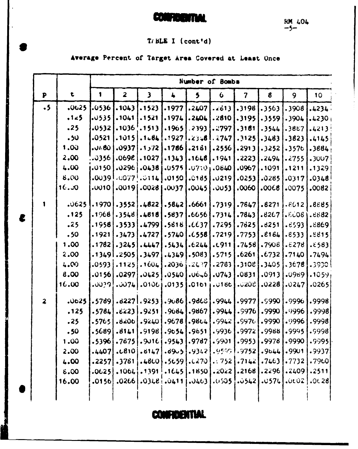# CONFIDENTIAL

### $T / BLE I (cont'd)$

Average Percent of Target Area Covered at Least Once

|                         |       |              |                         |                 |                | Number of Bombs         |              |                |                  |                 |           |
|-------------------------|-------|--------------|-------------------------|-----------------|----------------|-------------------------|--------------|----------------|------------------|-----------------|-----------|
| $\mathbf{P}$            | t     | $\mathbf{1}$ | $\overline{\mathbf{2}}$ | $\mathbf{3}$    | $\clubsuit$    | $\overline{\mathbf{5}}$ | 6            | $7\phantom{.}$ | $\boldsymbol{6}$ | 9               | 10        |
| $\cdot$ 5               | .0625 | .0536        | .1043                   | .1523           | .1977          | .2407                   | .2613        | .3198          | .3563            | .3908           | .4234.    |
|                         | .125  | .0535        | .1041                   | .1521           | .1974          | .2404                   | .2810        | .3195          | .3559            | .3904           | .4230     |
|                         | .25   | .0532        | .1036 !                 | .1513           | .1965          | .2393                   | .2797        | .3161          | .3544            | .3887           | .4213     |
|                         | .50   | .0521        | . 1015                  | .1484           | .1927          |                         | .23.8 . 2747 | .3125          | .3483            | .3823           | .4145     |
|                         | 1.00  | .0400        | 337.04                  | .1 <sub>2</sub> | .1786          | .2161                   | .2556        | .2913          | .3252            | .3576           | .3884     |
|                         | 2.00  | .0356        | .069E                   | .1027           | .1343          | .1648                   | .1941        | .2223          | .2494            | .2755           | .3007     |
|                         | 4.00  | .0150        |                         | $.0296$ .0438)  | .0575          |                         | .07101.0640  | .0967          | .1091            | .1211           | .1329     |
|                         | 8.00  | .0039!       | $.0077^{+}$             | .0114           | .0150          | .0185                   | .0219        | .0253          | .0285            | .0317           | .0348     |
|                         | 16.50 | .0010        | .0019                   | .00281          | .0037          | .0045                   | .0053        | 0000.          | 8300.            | .0075           | .0082.    |
|                         | .0625 | .1970        |                         | $.3552$ .4822   | .5842]         | .6661]                  | .7319        | .7647          |                  | $.8271$ $.8612$ | .8885     |
|                         | .125  | .1968        | .3548                   | .4816           | .5837          | .6656                   | .7314        | .7843          | .8267            | .5005           | .6682     |
|                         | .25   | .1958        | .3533                   | .4799           | .5616          | . (637)                 | .7295        | .7625          | .8251            | .6593           | .8869     |
|                         | .50   | .1921        | .3473                   | .4727           | .5740          | .6558                   | .7219        | .7753          | .2164            | .6533           | .8815     |
|                         | 1.00  | .1782        | .3245                   | .4447           | .5434          | .6244                   | .0911        | .7458          | .7906            | .5278           | .6583     |
|                         | 2.00  |              | .13491.2505             | .3497           | .4349          | .5083                   | .5715        | .6261          | .6732            | .7140           | .7494     |
|                         | 4.00  | .0593        | .1125                   | .1604]          | <b>أ 1030.</b> | -2637)                  | .2783        | .3108          | .3405            | .3678           | -3930     |
|                         | 8.00  | .0156        | .0297                   | .0425           | .0540          | .06, 6                  | .0743        | .0831          | .0913            | .0969           | $.1059_1$ |
|                         | 16.00 | .0039!       | .0074                   | .0106           | .0135          | .0101                   | .0186        | .೦20೮          | .0228            | .0247           | .0265     |
| $\overline{\mathbf{z}}$ | .0025 | .5789]       |                         | .82271.9253     | .9086          | .986s                   | .9944        | .9977          | .9990            | .9996           | .9998     |
|                         | .125  | .5784        | 3223.                   | .9251           | .9684          | .9867                   | .9944        | .9976          | .9990            | .9996           | .9998     |
|                         | .25   | .5765        | 8206.                   | .9240           | .9678          | .9864                   | .9942        | .9976          | .9990            | .9996           | .9998     |
|                         | .50   | 3689.        | .8141                   | .9198           | .9054          | .9651                   | .9936        | .9972          | .9988            | .9995           | .9998     |
|                         | 1.00  | .53961       | .7675                   | .9016           | .9543          | .9787                   | .9901        | .9953          | .9978            | .9990           | .9995     |
|                         | 2.00  | .4407        | . c810                  | .8147           | .89.5          | .9342                   | -9599        | .9752          | .9644            | .9901           | .9937     |
|                         | 4.00  | .2257        | .3781                   | .4860]          | .5659          | .0270                   | .752         | .7142          | .7463            | .7732           | .7960     |
|                         | 6.00  | .0625        | .106L                   | .1391           | .1645          | .1850                   | .2022        | .2168          | .2296            | .2409           | .2511     |
|                         | 16.00 | .0156        | .0266                   | .0348           | .0411          | .0463                   | .0505        | .0542          | .0574            | 002             | .0628     |
|                         |       |              |                         |                 |                |                         |              |                |                  |                 |           |

 $\epsilon$ 

**CONFIDENTIAL**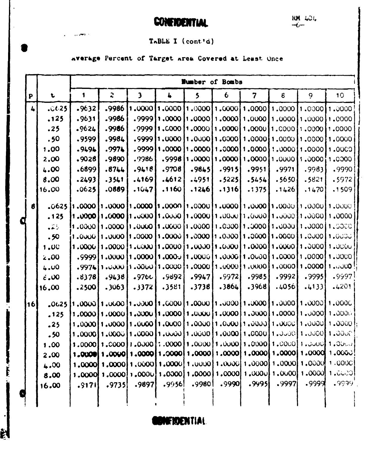**CONFIDENTIAL** 

### TABLE I (cont'd)

# average Percent of Target area Covered at Least Once

 $\sqrt{2}$  , where  $\sim$ 

F

|               |                      |                   |                                                                                          |                     |                  | <b>Humber of Bombs</b>                                                    |                  |                                              |         |                   |                                                                                                             |
|---------------|----------------------|-------------------|------------------------------------------------------------------------------------------|---------------------|------------------|---------------------------------------------------------------------------|------------------|----------------------------------------------|---------|-------------------|-------------------------------------------------------------------------------------------------------------|
| P             | $\mathbf t$          | $\mathbf{1}$      | $\mathbf{r}$                                                                             | $\mathbf{3}$        | $\ddot{\bullet}$ | 5                                                                         | $\boldsymbol{6}$ | $\overline{7}$                               | 8       | 9                 | 10                                                                                                          |
| $\frac{1}{2}$ | .0625                | .9632             | .9986                                                                                    | 1,0000              |                  | 0000, 1  0000, 1   0000, 1   0000, 1                                      |                  |                                              | 1.0000  | 11.000011.0000    |                                                                                                             |
|               | .125                 | .9631             | .9986                                                                                    | .9999               | 1,0000           | 1,0000                                                                    |                  | $1,0000$ , $1,0000$                          | 1,0000  | 1,0000            | 1,0000                                                                                                      |
|               | .25                  | .9624             | .9986                                                                                    | .9999               | 1,0000           | 1,0000                                                                    |                  | 1,0000 1,0000                                | 1.COOO  | 1,0000            | 1,0000                                                                                                      |
|               | .50                  | .9599             | .9984                                                                                    | .9999               | 1,0000           |                                                                           | 1.000011.0000    | $1,0000$ $1,0000$                            |         | 1,0000            | 1,0000                                                                                                      |
|               | 1.00                 | .9494             | .9974                                                                                    | .9999               | 1,0000           | 1,0000                                                                    |                  | $1,0000$ , $1,0000$                          | 1,0000  | 1,0000            | 1,0000                                                                                                      |
|               | 2.00                 | .9028             | .9890                                                                                    | .9986               | .9998            | 1.0000                                                                    |                  | $1,0000$ , $1,0000$                          | 1,0000  | 1.0000            | 1.0000                                                                                                      |
|               | 4.00                 | .6899             | .8744                                                                                    | .9418               | .9708            | .9845                                                                     | .9915            | .9951                                        | .9971   | .9983             | .9990                                                                                                       |
|               | 8.00                 | .2493             | .3541                                                                                    | .4169               | .4612            | .4951                                                                     | .5225            | .5454                                        | .5650   | .5821             | .5972                                                                                                       |
|               | 16.00                | .0625             | .0889                                                                                    | .1047               | .1160            | .1246                                                                     | .1316            | .1375                                        | .1426   | .1470             | .1509                                                                                                       |
| $\mathbf{6}$  | .0625                |                   | 0000, t [0000, t [0000, t] 0000, t [0000, t [0000, t] 0000, t] 0000, t [0000, t] 0000, t |                     |                  |                                                                           |                  |                                              |         |                   |                                                                                                             |
|               | .125                 |                   | 1.0000, 11.0000, 11                                                                      | 0.00011.0000        |                  | 1.0000                                                                    |                  | 1.00011.0000                                 |         | $1.0000$ $1.0000$ | 1,0000                                                                                                      |
|               | الأغاما              | $0000$ . I        | 1.0000                                                                                   | 1.0000              | 1,0000           | 1,0000                                                                    |                  | 1.000011.00001                               | 1.0000  | 1,0000            | 1,0000                                                                                                      |
|               | .50                  |                   | 1.0000.1 0000.1 0000.1                                                                   |                     | 1.0000           |                                                                           |                  | 0000.1   0000.1   0000.1   0000.1   0000.1   |         |                   | 1.0000                                                                                                      |
|               | 1.00                 | $1.0000$ $\vdots$ |                                                                                          | $1.0000$ $1.0000$   | 1.0000           |                                                                           |                  | $1.0000$ $1.0000$ $1.0000$                   | 1.00001 | 1.3000            | 1,0000                                                                                                      |
|               | 2.00                 | .99991            | 1.0000                                                                                   | 1.0000              | ا ن000ء 1        | 1,00001                                                                   |                  | $1,0000$   1.0000                            | 1.0000  | 1,0000            | 1,0000                                                                                                      |
|               | 4.00                 |                   |                                                                                          |                     |                  |                                                                           |                  |                                              |         |                   | $1,9974$   $1,0000$   $1,0000$   $1,0000$   $1,0000$   $1,0000$   $1,0000$   $1,0000$   $1,0000$            |
|               | $\dot{\epsilon}$ .00 | .8378             | .9438                                                                                    | .976c               | .9892            | .9947                                                                     | .9972            | .9985                                        | .9992   | .9995             | .9997                                                                                                       |
|               | 16,00                | .2500             | .3063                                                                                    | .3372               | .3581            | .3738                                                                     | .3864            | .3968                                        | .4056   | .4133]            | .4201                                                                                                       |
| 16            | .0625                |                   | 0000.1 [0000.1] [0000.1] [0000.1] [0000.1] [0000.1] [0000.1] [0000.1] [0000.1] [0000.1]  |                     |                  |                                                                           |                  |                                              |         |                   |                                                                                                             |
|               | .125                 |                   | $1,0000$ , $1$ $0000$ , $1$ $0000$ , $1$ $0000$ , $1$                                    |                     |                  |                                                                           |                  | $1.0000$ $1.0000$ $1.0000$ $1.0000$ $1.0000$ |         |                   | 1.0000                                                                                                      |
|               | .25                  |                   | $[1.000011.000011.000011.000011.000011.000011.000011.000011.00001]$                      |                     |                  |                                                                           |                  |                                              |         |                   | 1,0000                                                                                                      |
|               | .50                  |                   |                                                                                          |                     |                  |                                                                           |                  |                                              |         |                   | $1,0000$   $1,0000$   $1,0000$   $1,0000$   $1,0000$   $1,0000$   $1,0000$   $1,0000$   $1,0000$   $1,0000$ |
|               | 1.00                 |                   | $[0.0000]$ : $[0.000]$ : $[0.000]$ : $[0.000]$                                           |                     |                  |                                                                           |                  | 1,000011,000011,000011,000011,00001          |         |                   | 1.0000                                                                                                      |
|               | 2.00                 | 1.00001           |                                                                                          |                     |                  | 1.0000.1 0000.1 0000.1 0000.1 0000.1 0000.1 0000.1                        |                  |                                              |         |                   | 1.0000                                                                                                      |
|               | 4.00                 | 1,0000            |                                                                                          |                     |                  | 1,0000   1,0000   1,0000   1,0000   1,0000   1,0000   1,0000   1,0000   1 |                  |                                              |         |                   | 1.000C                                                                                                      |
|               | 8.00                 | 1,0000            |                                                                                          | $1,0000$ , $1,0000$ |                  | $1,0000$ 1.0000 1.0000 1.0000 1.0000 1.0000 1                             |                  |                                              |         |                   | [1, 0000]                                                                                                   |
|               | 16.00                | .9171             | .9735                                                                                    | .9897               | .9956            | .9980                                                                     | .9990            | .9995                                        | .9997   | .9999             | .9999                                                                                                       |
|               |                      |                   |                                                                                          |                     |                  |                                                                           |                  |                                              |         |                   |                                                                                                             |

**BONFRDENTIAL**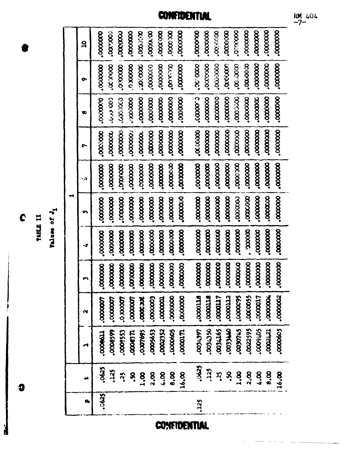-1 Values of

TABLE II

000000. ,000000 ,000000  $000000$ ,0000000 0000000  $0000000$ 0000000 ,000000 .ooooooo. cocooo.  $rac{1}{2}$ ,0000000 0000000 .cooooo. **COOCADO.** ,000000  $\mathbf{a}$  $\infty$   $\infty$ .occooo 0000000 0000000  $000000$ ,0000000 **OUNTAIO** .accoon 000000. 0000.00 000000 ,000000  $000000$  $000000$ ,000000 coooxio" 1000000 0000000  $\bullet$  $000000$ coooo. 000000.  $000000$  $000000$ ,000000 ,000000 ,000000  $000000$ 0000000. .0000000 3000000 coccoco.  $000000$ 0000000 0000000  $\infty$ ,0000000  $\bullet$  $000000$ **COOOOOO** ,0000000 ,000000  $000000$ ,0000000 .accooo  $000000$  $000000$  $000000$ ,000000  $000000$ 0000000 ,000000 ,0000000 000000 .coccoo.  $000000$ Ľ **COOOOOO** ,000000  $000000$ .coocooo. ,000000  $\infty$ ,000000 ,000000  $000000$ 0000000  $\infty$ ,0000000 ,000000 ,0000000  $000000$ ,000000 .0000000 ,000000 k.  $\blacksquare$  $000000$  $000000$ ,000000 .coccco ,000000 .cooooo. ,000000  $000000$ 0000000  $000000$ ,000000  $000000$ ,000000 .0000000  $\sim$ **coocooo**. .0000000 ,000000 S ,000000  $000000$  $000000$  $000000$ ,000000 ,000000 ,0000000  $00000$ . ,000000 0000000 ,0000000 .cooooo. ,000000 ,0000000 **coccooo** ,000000 ,000000 ,000000 ÷ ,000000 0000000 000000. 0000000 0000000 0000000 **COOOOO** ccoooo" ,000000 ,0000000 ,000000 ,000000 ,000000 ,000000 ,000000  $000000$ ,000000 .000000  $\mathbf{r}$ 2000000 ,0000055  $000000$ ,0000000 **PTTOOOOT** arroooo" crrooor. ,000005 **LOOOOO.** .0000003 croopo. **LTOCOOO"** ,0000007 1000000 1000000 **SKC200C.** cooooo. 1000000  $\mathbf{\alpha}$ 0022595 *<b>OSLASS* 6911600 **OTHECOO** 6710600 0009405 ,0000605 0005653 0002352 10000605 1002421 0000599 0009553 coorders.  $10000171$ 12001.397 **CCOOST** 1000000 ⋳ ,0625 -0625 .125 ,125 S.  $3.8$  $\sum_{i=1}^{n}$  $2,8$ 8.4  $8,8$  $\ddot{a}$ **s**  $3.001$ **8.00**  $3.3$  $\frac{8}{6}$ 16.00 16.00 فه .0625 ,125 D,

**CONFIDENTIAL** 

COMFIDENTIAL

 $RM$  404

C

Ø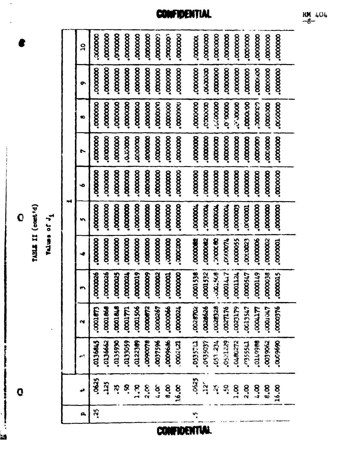C<br>TALL II (control)<br>Tall II (control)

**.** 

 $\mathbf 0$ 

R

| 9  | <b>COOOOC</b>       | ,000000      | ,000000        | ,000000         | ,000000  | <b>cocoooo:</b> | .000000; | .000000         | <b>COOOOOO</b> . | <b>voooor</b> . | ,0000000              | 000000                 | ,000000             | ,0000000      | 000000          | ,000000     | ,0000000         | ,000000            |  |
|----|---------------------|--------------|----------------|-----------------|----------|-----------------|----------|-----------------|------------------|-----------------|-----------------------|------------------------|---------------------|---------------|-----------------|-------------|------------------|--------------------|--|
| o  | ,0000000            | ,000000      | ,000000        | <b>coooooo</b>  | ,0000000 |                 | ,000000  | ,000000         | .0000000         | ,000000         | <b>cccccoo.</b>       | <b>cooooo</b> .        | ,000000             | <b>cocooo</b> | 000000          | ,000,000    | ,0000000         | 000000             |  |
| œ  | 000000              | .000000      | ,0000000       |                 | coooooo. | ,000000         | 000000   | 000000          | 0000000          | ,000000         | coooco.               | ccooooooooo            | 00000.0             | 000000000     | 000000.         | cadac-      | ,000000          | .000000            |  |
| r  | ,0000000            | ,000000      | ,000000        | <b>occcoon</b>  | ,000000  | ,0000000        | .cooooo. | ,0000000        | ,0000000         | ,000000         | ,0000000              |                        | ,0000000            | ,000000       |                 | 000000      | ,0000000         | ,000000            |  |
| ∙  | ,0000000            | ,000000      | ,000000        | 000000.         | 000000   | ,000000         | ,0000000 | <b>cooooo</b>   | .0000000         | 0000000         |                       | ,0000000               | ,000000             | ,000000       | ,000000         | 000000      | ,000000          | ,0000000           |  |
|    | ,000000             | ,000000      |                | <b>COOOOOO</b>  | ,0000000 | ,000000         | ,0000000 | <b>cooccoo</b>  | ,0000000         | <b>LOOOOOL</b>  | <b>MOOOOC</b>         | <b>LOODOOO.</b>        | <b>LOOOOO.</b>      | Cooooo'       | Lococor         |             | ,0000000         | 0000000            |  |
|    | ,000000             | 0000000      | <b>COOOOOO</b> | 0000000         | 0000000  | 0000000         | 000000.  | 3000000         | coccoc.          | 100000000       | COOOOKS.              | 3000000                | <b>LLOOLY</b>       | ,0000055      | ,000.0023       | ,000006     | ,0000002         | .0000001           |  |
|    | ,0000026            | ,0000026     |                |                 |          |                 |          |                 |                  |                 |                       |                        |                     |               |                 |             |                  |                    |  |
|    |                     |              | 200000.        | <b>LZOOOOO.</b> | 0000019  | ,000009         | 500000.  | <b>LCCCCCC.</b> | 000000.          | .0001536        | .0001532              | 575.00                 | 1771000             | rettooo"      | 0000547         | 6710000     | 00000038         | accoon.            |  |
| N  | E<br>$\overline{3}$ | 3<br>0.00016 | 3<br>10001     | rutooo"         | ,0001506 | 2200000         | ,0000267 | ,0000066        | 1200000          | <b>COSSOO.</b>  | 923526.               | $\mathbf{z}$<br>(2000, | 8L<br><b>Lzoo</b> . | 023179        | ζ£,<br>$-00135$ | Ë<br>Thoon' | L'horonor.       | 56<br><b>COOO'</b> |  |
|    | 0136845             | 2999010      | 0235990        | 0133059         | 0122369  | 8400600         | ,0037596 | 10009636        | 1002121          | 10535711        | 1605650°              | ,053.234               | 0521229             | 0480272       | L1555C.         | 0149988     | 29906500         | 0000000            |  |
| حو | .0625               | 325          | ś.             | S.              | 2.0      | 2.00            | 4.00     | 8.8             | 16.00            | .0425           | $\mathbf{a}^{\prime}$ | Ň.                     | ္သိ                 | 3.00          | 2.00            | <b>8.1</b>  | $\mathbf{g}$ ,00 | 16.00              |  |

**CONFIDENTIAL** 

**CONFIDENTIAL** 

 $\frac{RM}{-8}$  404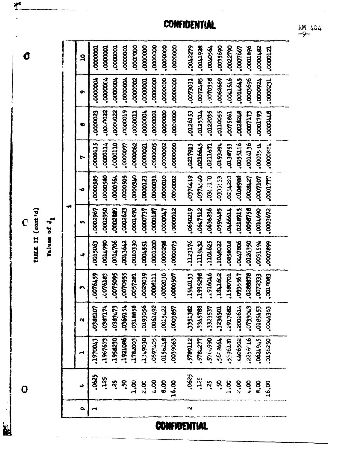**R** 

| σ                                              | $\mathbf{a}$ | 0000001         | .000000        | 100000.            | .oooooo.        | 000000          | ,000000        | ,0000000 | 000000           | .oooooo. | 0042279              | BC6T7DO"         | 1950200. | 0035690    | 0022790        | ,0007667       | 0001896                      | 2970001          | ,0000121        |  |
|------------------------------------------------|--------------|-----------------|----------------|--------------------|-----------------|-----------------|----------------|----------|------------------|----------|----------------------|------------------|----------|------------|----------------|----------------|------------------------------|------------------|-----------------|--|
|                                                | ຶ            | ,0000004        | .0000004       | 100000.            |                 | .000002         | .cooooo.       | ,0000000 |                  | ,0000000 | <b>ECOLLOO*</b>      | .0072485         | .000358  | ,0062669   | 975TPOO        | CHANTICO.      | ,0003696                     | 1260000          | .0000231        |  |
|                                                | o            | ,0000023        | 2204.00.       | 0000022            | 00000019        | TIOOOOO.        | ,0000004       | 100000.  | 0000000          | 0000000. | 0126153              | 125314           | 0122035  | ,0110055   | .0075861       | <b>B178210</b> | cludoo"                      | 66/1000          | <b>STTOOO'</b>  |  |
|                                                | r            | CCCOOOO.        | 10000114       | 000000.            |                 | <b>COOOOOO.</b> | <b>COOOOO.</b> | ,000005  | .0000002         | ,0000000 | <b>CTGLT20°</b>      | <b>RASSO.</b>    | .0211671 | 1626610    | 64136753       | 6118,000       | <b>9ECTICO"</b>              | 11,5000°         | .0000PL         |  |
|                                                | ۰o           | ,0000585        | 0000500        | .0000564           | ,0000505        | <b>UNCOOOO.</b> | .0000123       | .000001  | crococo.         | .0000002 | <b>61776GO</b>       | <b>CA.712EO*</b> | 0.1130   | $-0379753$ | <b>CC7550°</b> | 6969010*       | 124427                       | <b>LOCLLOOO"</b> | <b>0001777.</b> |  |
| TABLE II (cont 'd)<br>Values of J <sub>1</sub> | m            | ,0002967        | 02950          | <b>CARCOOO</b>     | <b>COOSOO.</b>  | coores.         | <b>CLOOOD</b>  | 120000.7 | <b>LADOOON</b> . | 200000.  | 0650219              | 215750.          | ,0636876 | 0596485    | 1199970        | 2169120        | .0058758                     | 0011690          | .0003672        |  |
|                                                | -4           | <b>6905200°</b> | 06671000       | <b>POLTION</b>     | <b>CASSEDO.</b> | 0660100.        | .0004551       | 0001200  | <b>PG20000.</b>  | ,0000075 | .1123176             | 1119432          | 1104,625 | 1040022    | 6100560        | 9081740°       | 0226550                      | 1651500°         | 6692000         |  |
|                                                |              | .0076459        | <b>EBT9407</b> | ,007,5095          | <b>.comps55</b> | .0057281        | 0029039        | LT19000. | 0000000          | ,000,000 | £\$10491,            | 1935298          | 916046   | 7841602    | 1580701        | ,0935567       | 0288578                      | .0072333         | COG TOO'        |  |
|                                                | Μ            | 5<br>.03881     | 1274250        | CLAGEC.            | 3359154         |                 | 0195056        | 2671900  | \$422,000        | ,0003857 | 3351362              | 3345788          | .3323537 | .3236501   | 2917682        | .2002614       | <b>CS7SBTO*3</b><br>CTOELLO* |                  | .0046363        |  |
|                                                | H            | Lt0045          | 1967673        | 1958230            | 1921086         | 1782003         | 1349030        | 0592405  | 372950°          | 6906600. | 2011927              | TRIZTT           | .5764990 | .56:3664   | 0219655        | 4406502        | 2256516                      | 67677972         | 0156250         |  |
| 0                                              | دډ           | ,0625           | ,125           | $\mathbf{\hat{z}}$ | S               | 3.8             | 2.00           | 8.1      | 8.00             | 16.00    | .0625                | 325              | .25      | <b>Sc.</b> | 3.00           | 2.00           | 8.00                         | 8.8              | 16.00           |  |
|                                                | ρ,           | ⊶               |                |                    |                 |                 |                |          |                  |          | $\mathbf{\tilde{z}}$ |                  |          |            |                |                |                              |                  |                 |  |

**CONFIDENTIAL** 

**CONFIDENTIAL** 



 $\mathbf{L}$ 

ر<br>د د اولستانستان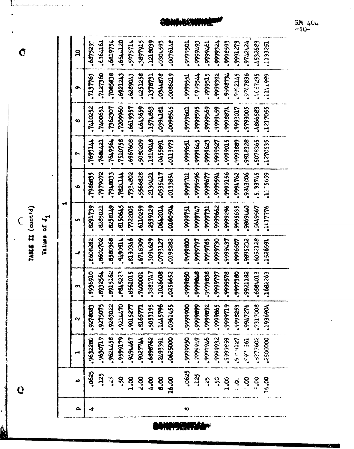TABLE II (cont'd)

Ĝ

Values of J<sub>1</sub>

.687529 .6819754 **CSLL120** 5975714 ,3897915 1218039 att9L00° 1766666 **6655666°** 627666 1212124 -0304593 .4532683 1971983. 1056666 6676666 1976666 .1133251  $\mathbf{a}$ ,7127360 .7065838 ,0086219 , 1999515 266666 \*648666 2412345  $-3767836$ 1667235 .7137763 6921243 6289043 ,4251258 0344878 6967.11 .999951 7756665 1378731 õ 0966021 1400651 7362307 6619357 5759600 1/86666 .7410252 .4643659 .9999601 ,99999595 6966666 6576666° **SOOEGL6.** .4866583 1217055 .1574863 **rath6Co**. LT06666°  $\infty$ .7649564 .7510758 .6967608 \$080209 **ANGIBI.** .9999651 5796666 5706666 9816326 .5078365 .1270535 **7415697.** 1684421 1695540 **CL66TTO** 629666° 6885666 1256666.  $\overline{ }$ 2406464 -5.33745 .7948033 .5566828 S35417 10.6666 99999996 9576666 1255659 .7986835 **MTRBL' 1734802** .2130421 ,0133854 1656666 ,994,762 ,9343306 1296666  $\bullet$ ₩ .8291739 .8285021 6713239 .8150645 7722005 6520110. .2539129 **Trochyo"** 10160504 157666. **LTL6666** 29999662 9626666. ,9995635 **CT76996°** .5649567 1117776 164666 m 8602702 8580368 160614 .8130346 **.8608282** 6718309 .3094629 0086666 6052128 LZTEGLO<sup>.</sup> .0198282 1616666 067999730 **LE76666°** ,9996507 9895232 ,9999785 1526591 4 0169666 .8915162 .P845223 ,8561015 .0256652 09999950 8696666 .6584013 .1682263 .8932564 1713981 1026608 8106666 8456666 0861666 1400001  $.9921162$ **لخلفخفض** 044450 .1445796 0066666 6686666 .7317008 -9275075 ,9263022 ,9015277 .5053195 .0361455 2686666 \$9999965 6116666 947276 1936904 -9278083 .e16577. .9998253  $\sim$ -9630719 0\$66666 8577759 6416656 6165666 2500000 1977676 \$898762 ,0625000 9766066 266666° 65a6665 **209/25-12** ,9632280 **Milzod** 2493391 6379127 195.65 ,0625  $.0625$ ,125 ,125  $\tilde{c}$ . ۶.  $\ddot{5}$  $3.5$  $2,3$ 8.00 50  $\frac{8}{9}$ 16.00  $\sum_{i=1}^{8}$  $\mathbf{S}$ S<br>S 5.00  $\ddot{\mathbf{S}}$ د  $\mathbf{a}_i$  $\overline{ }$  $\infty$ 

W

RM 404  $-10-$ 

Ń